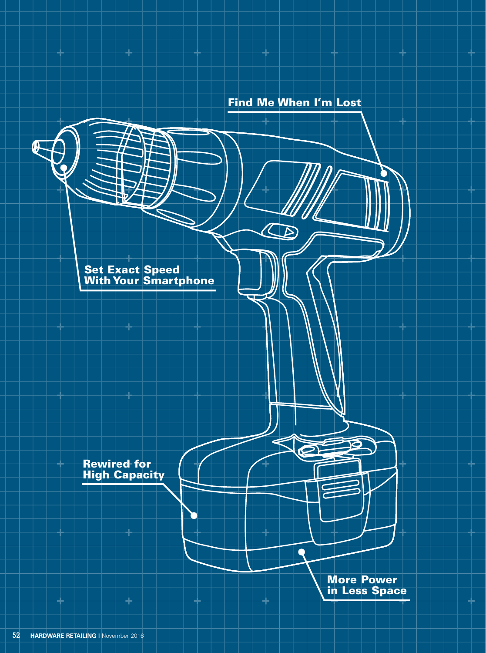Find Me When I'm Lost

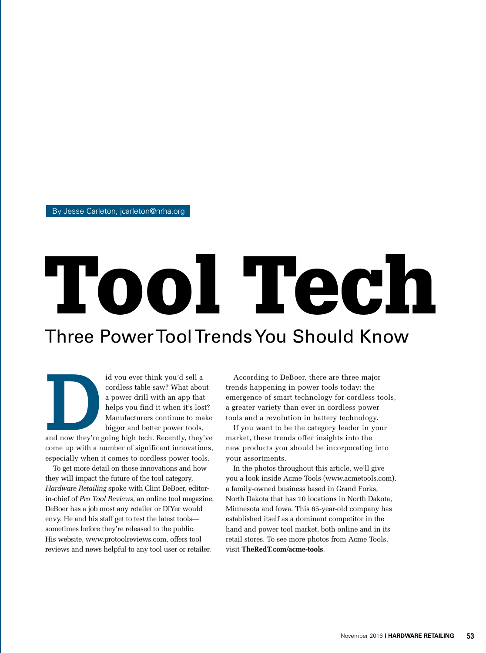By Jesse Carleton, jcarleton@nrha.org

# Three Power Tool Trends You Should Know Tool Tech

id you ever think you'd sell a<br>cordless table saw? What abou<br>a power drill with an app that<br>helps you find it when it's los<br>Manufacturers continue to ma<br>bigger and better power tools,<br>and now they're going high tech. Recen cordless table saw? What about a power drill with an app that helps you find it when it's lost? Manufacturers continue to make bigger and better power tools,

and now they're going high tech. Recently, they've come up with a number of significant innovations, especially when it comes to cordless power tools.

To get more detail on those innovations and how they will impact the future of the tool category, *Hardware Retailing* spoke with Clint DeBoer, editorin-chief of *Pro Tool Reviews*, an online tool magazine. DeBoer has a job most any retailer or DIYer would envy. He and his staff get to test the latest tools sometimes before they're released to the public. His website, www.protoolreviews.com, offers tool reviews and news helpful to any tool user or retailer.

According to DeBoer, there are three major trends happening in power tools today: the emergence of smart technology for cordless tools, a greater variety than ever in cordless power tools and a revolution in battery technology.

If you want to be the category leader in your market, these trends offer insights into the new products you should be incorporating into your assortments.

In the photos throughout this article, we'll give you a look inside Acme Tools (www.acmetools.com), a family-owned business based in Grand Forks, North Dakota that has 10 locations in North Dakota, Minnesota and Iowa. This 65-year-old company has established itself as a dominant competitor in the hand and power tool market, both online and in its retail stores. To see more photos from Acme Tools, visit **TheRedT.com/acme-tools**.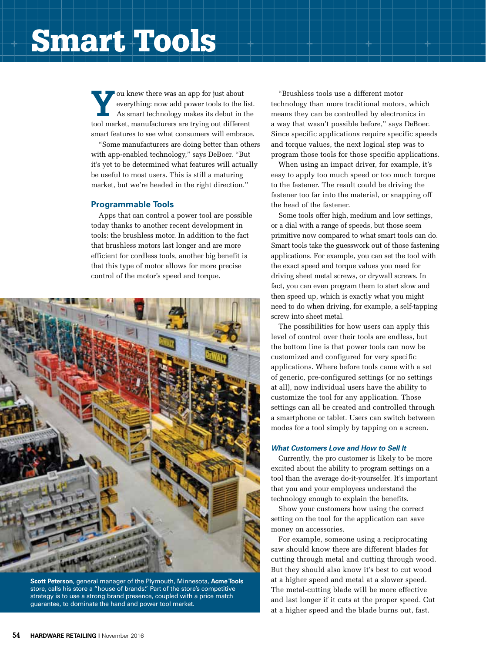# Smart Tools

**Y**<sup>ou knew there was an app for just about everything: now add power tools to the list.<br>As smart technology makes its debut in the</sup> everything: now add power tools to the list. tool market, manufacturers are trying out different smart features to see what consumers will embrace.

"Some manufacturers are doing better than others with app-enabled technology," says DeBoer. "But it's yet to be determined what features will actually be useful to most users. This is still a maturing market, but we're headed in the right direction."

#### **Programmable Tools**

Apps that can control a power tool are possible today thanks to another recent development in tools: the brushless motor. In addition to the fact that brushless motors last longer and are more efficient for cordless tools, another big benefit is that this type of motor allows for more precise control of the motor's speed and torque.



**Scott Peterson**, general manager of the Plymouth, Minnesota, **Acme Tools** store, calls his store a "house of brands." Part of the store's competitive strategy is to use a strong brand presence, coupled with a price match guarantee, to dominate the hand and power tool market.

"Brushless tools use a different motor technology than more traditional motors, which means they can be controlled by electronics in a way that wasn't possible before," says DeBoer. Since specific applications require specific speeds and torque values, the next logical step was to program those tools for those specific applications.

When using an impact driver, for example, it's easy to apply too much speed or too much torque to the fastener. The result could be driving the fastener too far into the material, or snapping off the head of the fastener.

Some tools offer high, medium and low settings, or a dial with a range of speeds, but those seem primitive now compared to what smart tools can do. Smart tools take the guesswork out of those fastening applications. For example, you can set the tool with the exact speed and torque values you need for driving sheet metal screws, or drywall screws. In fact, you can even program them to start slow and then speed up, which is exactly what you might need to do when driving, for example, a self-tapping screw into sheet metal.

The possibilities for how users can apply this level of control over their tools are endless, but the bottom line is that power tools can now be customized and configured for very specific applications. Where before tools came with a set of generic, pre-configured settings (or no settings at all), now individual users have the ability to customize the tool for any application. Those settings can all be created and controlled through a smartphone or tablet. Users can switch between modes for a tool simply by tapping on a screen.

#### *What Customers Love and How to Sell It*

Currently, the pro customer is likely to be more excited about the ability to program settings on a tool than the average do-it-yourselfer. It's important that you and your employees understand the technology enough to explain the benefits.

Show your customers how using the correct setting on the tool for the application can save money on accessories.

For example, someone using a reciprocating saw should know there are different blades for cutting through metal and cutting through wood. But they should also know it's best to cut wood at a higher speed and metal at a slower speed. The metal-cutting blade will be more effective and last longer if it cuts at the proper speed. Cut at a higher speed and the blade burns out, fast.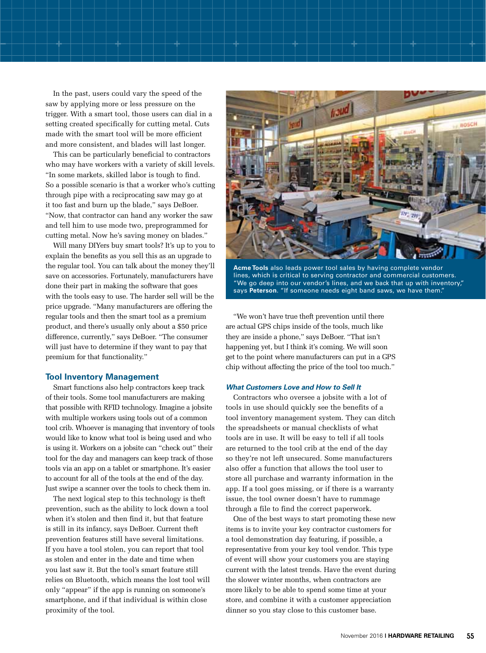In the past, users could vary the speed of the saw by applying more or less pressure on the trigger. With a smart tool, those users can dial in a setting created specifically for cutting metal. Cuts made with the smart tool will be more efficient and more consistent, and blades will last longer.

This can be particularly beneficial to contractors who may have workers with a variety of skill levels. "In some markets, skilled labor is tough to find. So a possible scenario is that a worker who's cutting through pipe with a reciprocating saw may go at it too fast and burn up the blade," says DeBoer. "Now, that contractor can hand any worker the saw and tell him to use mode two, preprogrammed for cutting metal. Now he's saving money on blades."

Will many DIYers buy smart tools? It's up to you to explain the benefits as you sell this as an upgrade to the regular tool. You can talk about the money they'll save on accessories. Fortunately, manufacturers have done their part in making the software that goes with the tools easy to use. The harder sell will be the price upgrade. "Many manufacturers are offering the regular tools and then the smart tool as a premium product, and there's usually only about a \$50 price difference, currently," says DeBoer. "The consumer will just have to determine if they want to pay that premium for that functionality."

#### **Tool Inventory Management**

Smart functions also help contractors keep track of their tools. Some tool manufacturers are making that possible with RFID technology. Imagine a jobsite with multiple workers using tools out of a common tool crib. Whoever is managing that inventory of tools would like to know what tool is being used and who is using it. Workers on a jobsite can "check out" their tool for the day and managers can keep track of those tools via an app on a tablet or smartphone. It's easier to account for all of the tools at the end of the day. Just swipe a scanner over the tools to check them in.

The next logical step to this technology is theft prevention, such as the ability to lock down a tool when it's stolen and then find it, but that feature is still in its infancy, says DeBoer. Current theft prevention features still have several limitations. If you have a tool stolen, you can report that tool as stolen and enter in the date and time when you last saw it. But the tool's smart feature still relies on Bluetooth, which means the lost tool will only "appear" if the app is running on someone's smartphone, and if that individual is within close proximity of the tool.



**Acme Tools** also leads power tool sales by having complete vendor lines, which is critical to serving contractor and commercial customers. "We go deep into our vendor's lines, and we back that up with inventory," says **Peterson**. "If someone needs eight band saws, we have them."

"We won't have true theft prevention until there are actual GPS chips inside of the tools, much like they are inside a phone," says DeBoer. "That isn't happening yet, but I think it's coming. We will soon get to the point where manufacturers can put in a GPS chip without affecting the price of the tool too much."

#### *What Customers Love and How to Sell It*

Contractors who oversee a jobsite with a lot of tools in use should quickly see the benefits of a tool inventory management system. They can ditch the spreadsheets or manual checklists of what tools are in use. It will be easy to tell if all tools are returned to the tool crib at the end of the day so they're not left unsecured. Some manufacturers also offer a function that allows the tool user to store all purchase and warranty information in the app. If a tool goes missing, or if there is a warranty issue, the tool owner doesn't have to rummage through a file to find the correct paperwork.

One of the best ways to start promoting these new items is to invite your key contractor customers for a tool demonstration day featuring, if possible, a representative from your key tool vendor. This type of event will show your customers you are staying current with the latest trends. Have the event during the slower winter months, when contractors are more likely to be able to spend some time at your store, and combine it with a customer appreciation dinner so you stay close to this customer base.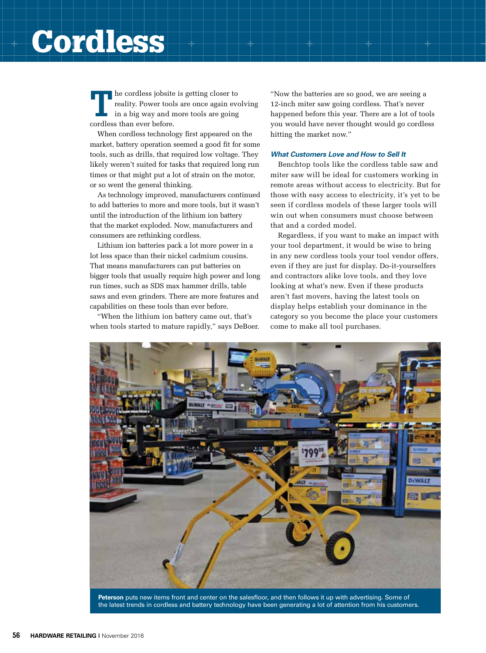## Cordless

**T**he cordless jobsite is getting closer to reality. Power tools are once again evolving in a big way and more tools are going cordless than ever before.

When cordless technology first appeared on the market, battery operation seemed a good fit for some tools, such as drills, that required low voltage. They likely weren't suited for tasks that required long run times or that might put a lot of strain on the motor, or so went the general thinking.

As technology improved, manufacturers continued to add batteries to more and more tools, but it wasn't until the introduction of the lithium ion battery that the market exploded. Now, manufacturers and consumers are rethinking cordless.

Lithium ion batteries pack a lot more power in a lot less space than their nickel cadmium cousins. That means manufacturers can put batteries on bigger tools that usually require high power and long run times, such as SDS max hammer drills, table saws and even grinders. There are more features and capabilities on these tools than ever before.

"When the lithium ion battery came out, that's when tools started to mature rapidly," says DeBoer. "Now the batteries are so good, we are seeing a 12-inch miter saw going cordless. That's never happened before this year. There are a lot of tools you would have never thought would go cordless hitting the market now."

#### *What Customers Love and How to Sell It*

Benchtop tools like the cordless table saw and miter saw will be ideal for customers working in remote areas without access to electricity. But for those with easy access to electricity, it's yet to be seen if cordless models of these larger tools will win out when consumers must choose between that and a corded model.

Regardless, if you want to make an impact with your tool department, it would be wise to bring in any new cordless tools your tool vendor offers, even if they are just for display. Do-it-yourselfers and contractors alike love tools, and they love looking at what's new. Even if these products aren't fast movers, having the latest tools on display helps establish your dominance in the category so you become the place your customers come to make all tool purchases.



**Peterson** puts new items front and center on the salesfloor, and then follows it up with advertising. Some of the latest trends in cordless and battery technology have been generating a lot of attention from his customers.